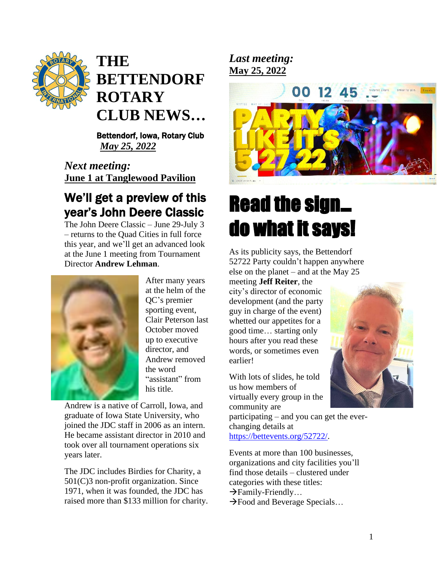

# **THE BETTENDORF ROTARY CLUB NEWS …**

 Bettendorf, Iowa, Rotary Club  *May 25, 2022*

*Next meeting:*  **June 1 at Tanglewood Pavilion**

# We 'll get a preview of this year 's John Deere Classic

The John Deere Classic – June 29 -July 3 – returns to the Quad Cities in full force this year, and we 'll get an advanced look at the June 1 meeting from Tournament Director **Andrew Lehman** .



After many years at the helm of the QC 's premier sporting event, Clair Peterson last October moved up to executive director, and Andrew removed the word "assistant " from his title.

Andrew is a native of Carroll, Iowa, and graduate of Iowa State University, who joined the JDC staff in 2006 as an intern. He became assistant director in <sup>2010</sup> and took over all tournament operations six years later.

The JDC include s Birdies for Charity, a 501(C)3 non -profit organization. Since 1971, when it was founded, the JDC has raised more than \$133 million for charity. *Last meeting:*  **May 25, 2022** 



# Read the sign … do what it says!

As its publicity says, the Bettendorf 52722 Party could n ' t happen anywhere else on the planet – and at the May 25

meeting **Jeff Reiter**, the city's director of economic development (and the party guy in charge of the event) whetted our appetites for a good time … starting only hours after you read these words, or sometimes even earlier !

With lots of slides, he told us how members of virtually every group in the community are

participating – and you can get the ever changing details at <https://bettevents.org/52722/>.

Events at more than 100 businesses, organizations and city facilities you 'll find those details – clustered under categories with these titles:  $\rightarrow$ Family-Friendly... →Food and Beverage Specials …

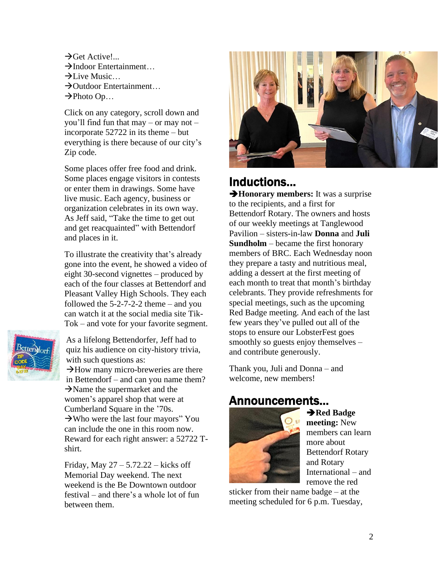$\rightarrow$ Get Active!...  $\rightarrow$ Indoor Entertainment…  $\rightarrow$ Live Music... →Outdoor Entertainment…  $\rightarrow$ Photo Op...

Click on any category, scroll down and you'll find fun that may – or may not – incorporate 52722 in its theme – but everything is there because of our city's Zip code.

Some places offer free food and drink. Some places engage visitors in contests or enter them in drawings. Some have live music. Each agency, business or organization celebrates in its own way. As Jeff said, "Take the time to get out and get reacquainted" with Bettendorf and places in it.

To illustrate the creativity that's already gone into the event, he showed a video of eight 30-second vignettes – produced by each of the four classes at Bettendorf and Pleasant Valley High Schools. They each followed the 5-2-7-2-2 theme – and you can watch it at the social media site Tik-Tok – and vote for your favorite segment.



As a lifelong Bettendorfer, Jeff had to quiz his audience on city-history trivia, with such questions as:

 $\rightarrow$ How many micro-breweries are there in Bettendorf – and can you name them?  $\rightarrow$ Name the supermarket and the women's apparel shop that were at Cumberland Square in the '70s.  $\rightarrow$ Who were the last four mayors" You can include the one in this room now. Reward for each right answer: a 52722 Tshirt.

Friday, May  $27 - 5.72.22 -$  kicks off Memorial Day weekend. The next weekend is the Be Downtown outdoor festival – and there's a whole lot of fun between them.



## Inductions…

➔**Honorary members:** It was a surprise to the recipients, and a first for Bettendorf Rotary. The owners and hosts of our weekly meetings at Tanglewood Pavilion – sisters-in-law **Donna** and **Juli Sundholm** – became the first honorary members of BRC. Each Wednesday noon they prepare a tasty and nutritious meal, adding a dessert at the first meeting of each month to treat that month's birthday celebrants. They provide refreshments for special meetings, such as the upcoming Red Badge meeting. And each of the last few years they've pulled out all of the stops to ensure our LobsterFest goes smoothly so guests enjoy themselves – and contribute generously.

Thank you, Juli and Donna – and welcome, new members!

## Announcements…



➔**Red Badge meeting:** New members can learn more about Bettendorf Rotary and Rotary International – and remove the red

sticker from their name badge – at the meeting scheduled for 6 p.m. Tuesday,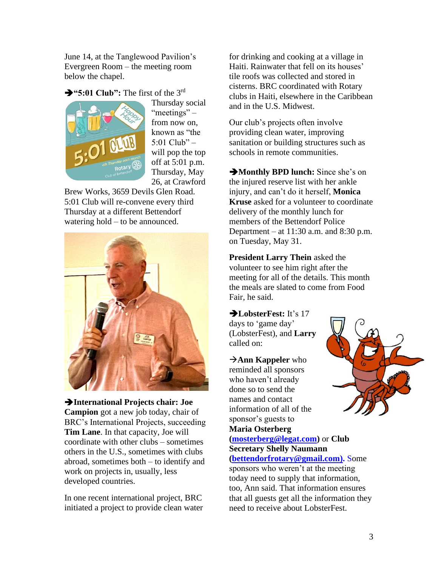June 14, at the Tanglewood Pavilion's Evergreen Room – the meeting room below the chapel.

➔**"5:01 Club":** The first of the 3rd



Thursday social "meetings" – from now on, known as "the 5:01 Club"  $$ will pop the top off at 5:01 p.m. Thursday, May 26, at Crawford

Brew Works, 3659 Devils Glen Road. 5:01 Club will re-convene every third Thursday at a different Bettendorf watering hold – to be announced.



➔**International Projects chair: Joe Campion** got a new job today, chair of BRC's International Projects, succeeding **Tim Lane**. In that capacity, Joe will coordinate with other clubs – sometimes others in the U.S., sometimes with clubs abroad, sometimes both – to identify and work on projects in, usually, less developed countries.

In one recent international project, BRC initiated a project to provide clean water for drinking and cooking at a village in Haiti. Rainwater that fell on its houses' tile roofs was collected and stored in cisterns. BRC coordinated with Rotary clubs in Haiti, elsewhere in the Caribbean and in the U.S. Midwest.

Our club's projects often involve providing clean water, improving sanitation or building structures such as schools in remote communities.

➔**Monthly BPD lunch:** Since she's on the injured reserve list with her ankle injury, and can't do it herself, **Monica Kruse** asked for a volunteer to coordinate delivery of the monthly lunch for members of the Bettendorf Police Department – at 11:30 a.m. and 8:30 p.m. on Tuesday, May 31.

**President Larry Thein** asked the volunteer to see him right after the meeting for all of the details. This month the meals are slated to come from Food Fair, he said.

➔**LobsterFest:** It's 17 days to 'game day' (LobsterFest), and **Larry**  called on:

→**Ann Kappeler** who reminded all sponsors who haven't already done so to send the names and contact information of all of the sponsor's guests to **Maria Osterberg** 

**[\(mosterberg@legat.com\)](mailto:mosterberg@legat.com)** or **Club Secretary Shelly Naumann** 

**[\(bettendorfrotary@gmail.com\)](mailto:bettendorfrotary@gmail.com).** Some sponsors who weren't at the meeting today need to supply that information, too, Ann said. That information ensures that all guests get all the information they need to receive about LobsterFest.

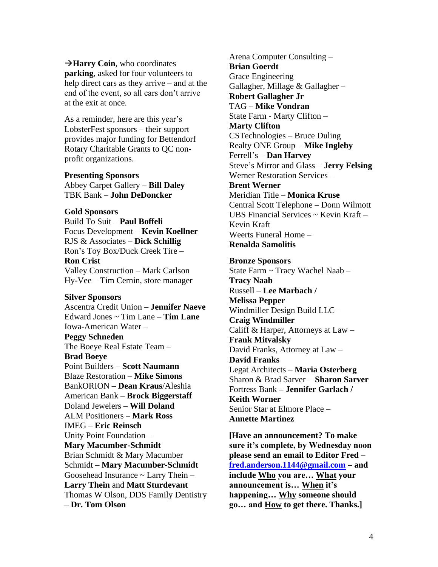→**Harry Coin**, who coordinates **parking**, asked for four volunteers to help direct cars as they arrive – and at the end of the event, so all cars don't arrive at the exit at once.

As a reminder, here are this year's LobsterFest sponsors – their support provides major funding for Bettendorf Rotary Charitable Grants to QC nonprofit organizations.

#### **Presenting Sponsors**

Abbey Carpet Gallery – **Bill Daley** TBK Bank – **John DeDoncker**

#### **Gold Sponsors**

Build To Suit – **Paul Boffeli** Focus Development – **Kevin Koellner** RJS & Associates – **Dick Schillig** Ron's Toy Box/Duck Creek Tire – **Ron Crist** Valley Construction – Mark Carlson Hy-Vee – Tim Cernin, store manager

#### **Silver Sponsors**

Ascentra Credit Union – **Jennifer Naeve** Edward Jones ~ Tim Lane – **Tim Lane** Iowa-American Water – **Peggy Schneden** The Boeye Real Estate Team – **Brad Boeye** Point Builders – **Scott Naumann** Blaze Restoration – **Mike Simons** BankORION – **Dean Kraus**/Aleshia American Bank – **Brock Biggerstaff** Doland Jewelers – **Will Doland** ALM Positioners – **Mark Ross** IMEG – **Eric Reinsch** Unity Point Foundation – **Mary Macumber-Schmidt** Brian Schmidt & Mary Macumber Schmidt – **Mary Macumber-Schmidt** Goosehead Insurance  $\sim$  Larry Thein  $-$ **Larry Thein** and **Matt Sturdevant** Thomas W Olson, DDS Family Dentistry – **Dr. Tom Olson**

Arena Computer Consulting – **Brian Goerdt** Grace Engineering Gallagher, Millage & Gallagher – **Robert Gallagher Jr** TAG – **Mike Vondran** State Farm - Marty Clifton – **Marty Clifton** CSTechnologies – Bruce Duling Realty ONE Group – **Mike Ingleby** Ferrell's – **Dan Harvey** Steve's Mirror and Glass – **Jerry Felsing** Werner Restoration Services – **Brent Werner** Meridian Title – **Monica Kruse** Central Scott Telephone – Donn Wilmott UBS Financial Services ~ Kevin Kraft – Kevin Kraft Weerts Funeral Home – **Renalda Samolitis**

#### **Bronze Sponsors**

State Farm ~ Tracy Wachel Naab – **Tracy Naab** Russell – **Lee Marbach / Melissa Pepper** Windmiller Design Build LLC – **Craig Windmiller** Califf & Harper, Attorneys at Law – **Frank Mitvalsky** David Franks, Attorney at Law – **David Franks** Legat Architects – **Maria Osterberg** Sharon & Brad Sarver – **Sharon Sarver** Fortress Bank **– Jennifer Garlach / Keith Worner** Senior Star at Elmore Place – **Annette Martinez**

**[Have an announcement? To make sure it's complete, by Wednesday noon please send an email to Editor Fred – [fred.anderson.1144@gmail.com](mailto:fred.anderson.1144@gmail.com) – and include Who you are… What your announcement is… When it's happening… Why someone should go… and How to get there. Thanks.]**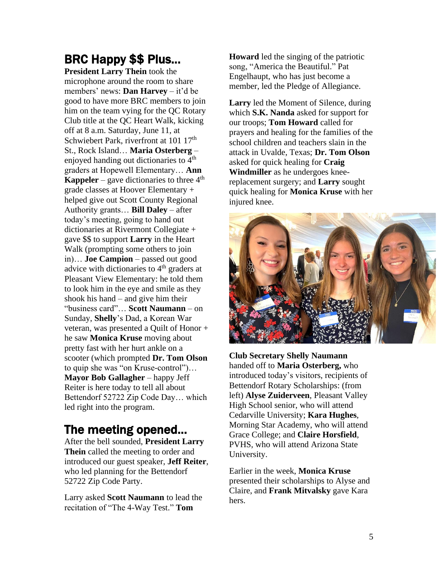# BRC Happy \$\$ Plus…

**President Larry Thein** took the microphone around the room to share members' news: **Dan Harvey** – it'd be good to have more BRC members to join him on the team vying for the QC Rotary Club title at the QC Heart Walk, kicking off at 8 a.m. Saturday, June 11, at Schwiebert Park, riverfront at 101 17<sup>th</sup> St., Rock Island… **Maria Osterberg** – enjoyed handing out dictionaries to  $4<sup>th</sup>$ graders at Hopewell Elementary… **Ann Kappeler** – gave dictionaries to three  $4<sup>th</sup>$ grade classes at Hoover Elementary + helped give out Scott County Regional Authority grants… **Bill Daley** – after today's meeting, going to hand out dictionaries at Rivermont Collegiate + gave \$\$ to support **Larry** in the Heart Walk (prompting some others to join in)… **Joe Campion** – passed out good advice with dictionaries to  $4<sup>th</sup>$  graders at Pleasant View Elementary: he told them to look him in the eye and smile as they shook his hand – and give him their "business card"… **Scott Naumann** – on Sunday, **Shelly**'s Dad, a Korean War veteran, was presented a Quilt of Honor + he saw **Monica Kruse** moving about pretty fast with her hurt ankle on a scooter (which prompted **Dr. Tom Olson**  to quip she was "on Kruse-control")… **Mayor Bob Gallagher** – happy Jeff Reiter is here today to tell all about Bettendorf 52722 Zip Code Day… which led right into the program.

# The meeting opened…

After the bell sounded, **President Larry Thein** called the meeting to order and introduced our guest speaker, **Jeff Reiter**, who led planning for the Bettendorf 52722 Zip Code Party.

Larry asked **Scott Naumann** to lead the recitation of "The 4-Way Test." **Tom** 

**Howard** led the singing of the patriotic song, "America the Beautiful." Pat Engelhaupt, who has just become a member, led the Pledge of Allegiance.

**Larry** led the Moment of Silence, during which **S.K. Nanda** asked for support for our troops; **Tom Howard** called for prayers and healing for the families of the school children and teachers slain in the attack in Uvalde, Texas; **Dr. Tom Olson**  asked for quick healing for **Craig Windmiller** as he undergoes kneereplacement surgery; and **Larry** sought quick healing for **Monica Kruse** with her injured knee.



**Club Secretary Shelly Naumann**  handed off to **Maria Osterberg,** who introduced today's visitors, recipients of Bettendorf Rotary Scholarships: (from left) **Alyse Zuiderveen**, Pleasant Valley High School senior, who will attend Cedarville University; **Kara Hughes**, Morning Star Academy, who will attend Grace College; and **Claire Horsfield**, PVHS, who will attend Arizona State University.

Earlier in the week, **Monica Kruse**  presented their scholarships to Alyse and Claire, and **Frank Mitvalsky** gave Kara hers.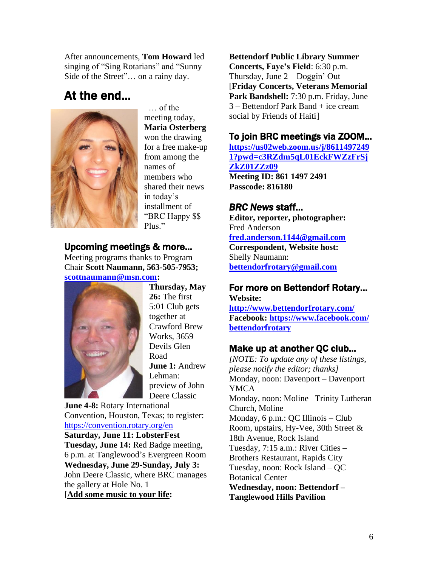After announcements, **Tom Howard** led singing of "Sing Rotarians" and "Sunny Side of the Street"… on a rainy day.

# At the end…



 … of the meeting today, **Maria Osterberg** won the drawing for a free make-up from among the names of members who shared their news in today's installment of "BRC Happy \$\$ Plus."

## Upcoming meetings & more…

Meeting programs thanks to Program Chair **Scott Naumann, 563-505-7953; [scottnaumann@msn.com:](mailto:scottnaumann@msn.com)**



**Thursday, May 26:** The first 5:01 Club gets together at Crawford Brew Works, 3659 Devils Glen Road **June 1:** Andrew Lehman: preview of John Deere Classic

**June 4-8:** Rotary International Convention, Houston, Texas; to register: <https://convention.rotary.org/en>

**Saturday, June 11: LobsterFest Tuesday, June 14:** Red Badge meeting, 6 p.m. at Tanglewood's Evergreen Room **Wednesday, June 29-Sunday, July 3:**  John Deere Classic, where BRC manages the gallery at Hole No. 1 [**Add some music to your life:**

**Bettendorf Public Library Summer Concerts, Faye's Field**: 6:30 p.m. Thursday, June 2 – Doggin' Out [**Friday Concerts, Veterans Memorial**  Park Bandshell: 7:30 p.m. Friday, June 3 – Bettendorf Park Band + ice cream social by Friends of Haiti]

## To join BRC meetings via ZOOM…

**[https://us02web.zoom.us/j/8611497249](https://us02web.zoom.us/j/86114972491?pwd=c3RZdm5qL01EckFWZzFrSjZkZ01ZZz09) [1?pwd=c3RZdm5qL01EckFWZzFrSj](https://us02web.zoom.us/j/86114972491?pwd=c3RZdm5qL01EckFWZzFrSjZkZ01ZZz09) [ZkZ01ZZz09](https://us02web.zoom.us/j/86114972491?pwd=c3RZdm5qL01EckFWZzFrSjZkZ01ZZz09) Meeting ID: 861 1497 2491 Passcode: 816180**

## *BRC News* staff…

**Editor, reporter, photographer:** Fred Anderson **[fred.anderson.1144@gmail.com](mailto:fred.anderson.1144@gmail.com) Correspondent, Website host:**  Shelly Naumann: **[bettendorfrotary@gmail.com](mailto:bettendorfrotary@gmail.com)**

#### For more on Bettendorf Rotary… **Website:**

**<http://www.bettendorfrotary.com/> Facebook: https://www.facebook.com/ bettendorfrotary**

## Make up at another QC club…

*[NOTE: To update any of these listings, please notify the editor; thanks]*  Monday, noon: Davenport – Davenport YMCA Monday, noon: Moline –Trinity Lutheran Church, Moline Monday, 6 p.m.: QC Illinois – Club Room, upstairs, Hy-Vee, 30th Street & 18th Avenue, Rock Island Tuesday, 7:15 a.m.: River Cities – Brothers Restaurant, Rapids City Tuesday, noon: Rock Island – QC Botanical Center **Wednesday, noon: Bettendorf – Tanglewood Hills Pavilion**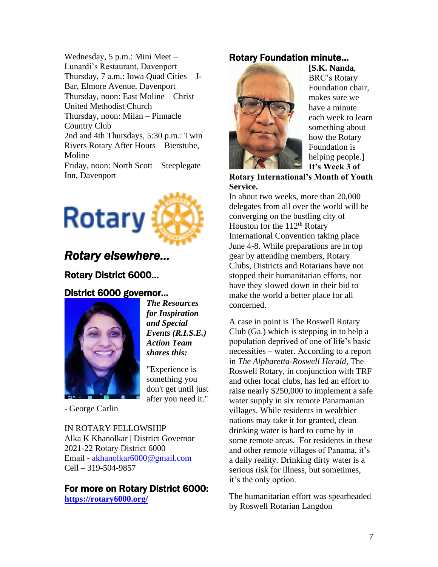Wednesday, 5 p.m.: Mini Meet – Lunardi's Restaurant, Davenport Thursday, 7 a.m.: Iowa Quad Cities – J-Bar, Elmore Avenue, Davenport Thursday, noon: East Moline – Christ United Methodist Church Thursday, noon: Milan – Pinnacle Country Club 2nd and 4th Thursdays, 5:30 p.m.: Twin Rivers Rotary After Hours – Bierstube, Moline Friday, noon: North Scott – Steeplegate Inn, Davenport



## *Rotary elsewhere…*

## Rotary District 6000…

## District 6000 governor…



*The Resources for Inspiration and Special Events (R.I.S.E.) Action Team shares this:*

"Experience is something you don't get until just after you need it."

- George Carlin

IN ROTARY FELLOWSHIP Alka K Khanolkar | District Governor 2021-22 Rotary District 6000 Email - [akhanolkar6000@gmail.com](mailto:akhanolkar6000@gmail.com) Cell – 319-504-9857

#### For more on Rotary District 6000: **<https://rotary6000.org/>**

## Rotary Foundation minute…



**[S.K. Nanda**, BRC's Rotary Foundation chair, makes sure we have a minute each week to learn something about how the Rotary Foundation is helping people.] **It's Week 3 of** 

**Rotary International's Month of Youth Service.**

In about two weeks, more than 20,000 delegates from all over the world will be converging on the bustling city of Houston for the  $112<sup>th</sup>$  Rotary International Convention taking place June 4-8. While preparations are in top gear by attending members, Rotary Clubs, Districts and Rotarians have not stopped their humanitarian efforts, nor have they slowed down in their bid to make the world a better place for all concerned.

A case in point is The Roswell Rotary Club (Ga.) which is stepping in to help a population deprived of one of life's basic necessities – water. According to a report in *The Alpharetta-Roswell Herald*, The Roswell Rotary, in conjunction with TRF and other local clubs, has led an effort to raise nearly \$250,000 to implement a safe water supply in six remote Panamanian villages. While residents in wealthier nations may take it for granted, clean drinking water is hard to come by in some remote areas. For residents in these and other remote villages of Panama, it's a daily reality. Drinking dirty water is a serious risk for illness, but sometimes, it's the only option.

The humanitarian effort was spearheaded by Roswell Rotarian Langdon